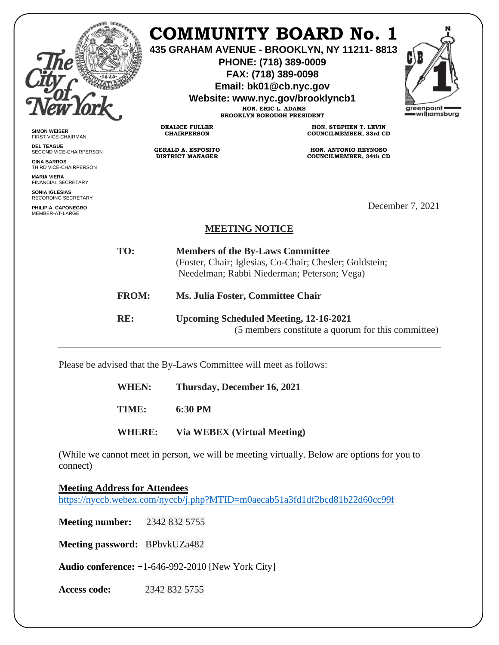|                                                                                                                                                                                                                                |                                                      | <b>COMMUNITY BOARD No. 1</b><br>435 GRAHAM AVENUE - BROOKLYN, NY 11211-8813<br>PHONE: (718) 389-0009<br>FAX: (718) 389-0098<br>Email: bk01@cb.nyc.gov<br>Website: www.nyc.gov/brooklyncb1<br>HON. ERIC L. ADAMS<br><b>BROOKLYN BOROUGH PRESIDENT</b> | greenpoint<br>— williamsburg |
|--------------------------------------------------------------------------------------------------------------------------------------------------------------------------------------------------------------------------------|------------------------------------------------------|------------------------------------------------------------------------------------------------------------------------------------------------------------------------------------------------------------------------------------------------------|------------------------------|
| <b>SIMON WEISER</b><br>FIRST VICE-CHAIRMAN                                                                                                                                                                                     | <b>DEALICE FULLER</b><br><b>CHAIRPERSON</b>          | HON. STEPHEN T. LEVIN<br>COUNCILMEMBER, 33rd CD                                                                                                                                                                                                      |                              |
| <b>DEL TEAGUE</b><br>SECOND VICE-CHAIRPERSON<br><b>GINA BARROS</b><br>THIRD VICE-CHAIRPERSON<br><b>MARIA VIERA</b><br><b>FINANCIAL SECRETARY</b><br><b>SONIA IGLESIAS</b><br><b>RECORDING SECRETARY</b><br>PHILIP A. CAPONEGRO | <b>GERALD A. ESPOSITO</b><br><b>DISTRICT MANAGER</b> | <b>HON. ANTONIO REYNOSO</b><br>COUNCILMEMBER, 34th CD                                                                                                                                                                                                | December 7, 2021             |
| MEMBER-AT-LARGE                                                                                                                                                                                                                | <b>MEETING NOTICE</b>                                |                                                                                                                                                                                                                                                      |                              |
| TO:                                                                                                                                                                                                                            |                                                      | <b>Members of the By-Laws Committee</b><br>(Foster, Chair; Iglesias, Co-Chair; Chesler; Goldstein;<br>Needelman; Rabbi Niederman; Peterson; Vega)                                                                                                    |                              |
| <b>FROM:</b>                                                                                                                                                                                                                   | Ms. Julia Foster, Committee Chair                    |                                                                                                                                                                                                                                                      |                              |
| RE:                                                                                                                                                                                                                            |                                                      | <b>Upcoming Scheduled Meeting, 12-16-2021</b><br>(5 members constitute a quorum for this committee)                                                                                                                                                  |                              |

Please be advised that the By-Laws Committee will meet as follows:

**WHEN: Thursday, December 16, 2021 TIME: 6:30 PM WHERE: Via WEBEX (Virtual Meeting)**

(While we cannot meet in person, we will be meeting virtually. Below are options for you to connect)

**Meeting Address for Attendees** <https://nyccb.webex.com/nyccb/j.php?MTID=m0aecab51a3fd1df2bcd81b22d60cc99f>

**Meeting number:** 2342 832 5755

**Meeting password:** BPbvkUZa482

**Audio conference:** +1-646-992-2010 [New York City]

**Access code:** 2342 832 5755